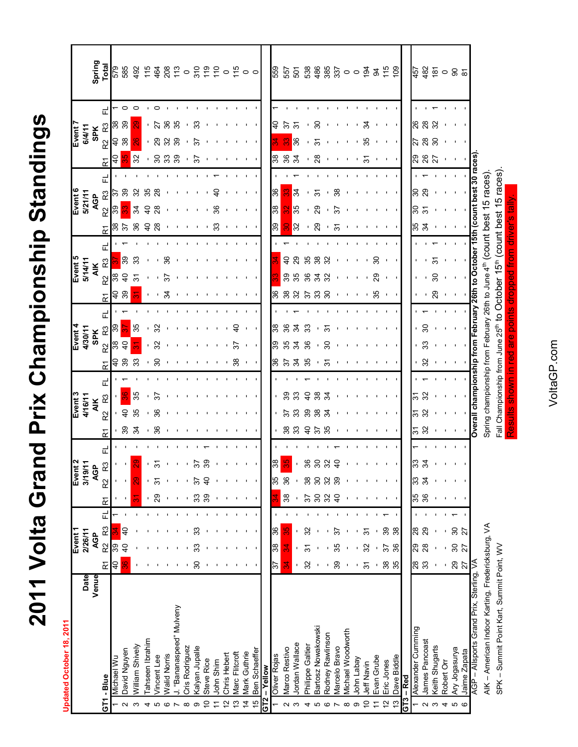2011 Volta Grand Prix Championship Standings  **2011 Volta Grand Prix Championship Standings**

Updated October 18, 2011 **Updated October 18, 2011**

|                   |                                                   |       |                      | Event <sub>1</sub> |                |   |                  | Event:           |                |                  |                 | Event <sub>3</sub>                                                                            |   |    | Event 4        |               |               |                      | Event 5          |   |                  | Event 6          |                |   |                     | Event <sub>7</sub>   |    |                 |
|-------------------|---------------------------------------------------|-------|----------------------|--------------------|----------------|---|------------------|------------------|----------------|------------------|-----------------|-----------------------------------------------------------------------------------------------|---|----|----------------|---------------|---------------|----------------------|------------------|---|------------------|------------------|----------------|---|---------------------|----------------------|----|-----------------|
|                   |                                                   | Date  |                      | 2/26/11            |                |   |                  | 3/19/11          |                |                  |                 | 4/16/11                                                                                       |   |    | 4/30/11        |               |               |                      | 5/14/11          |   |                  | 5/21/11          |                |   |                     | 6/4/11               |    |                 |
|                   |                                                   | Venue |                      | <b>AGP</b>         |                |   |                  | <b>AGP</b>       |                |                  |                 | <b>AIK</b>                                                                                    |   |    | <b>SPK</b>     |               |               |                      | <b>AIK</b>       |   |                  | AGP              |                |   |                     | <b>SPK</b>           |    | Spring          |
|                   | GT1 - Blue                                        |       | $\tilde{\mathbf{r}}$ | R <sub>2</sub>     | R3             | 군 | $\tilde{\simeq}$ | <u>ဆ</u><br>R2   | 군              | $\tilde{\simeq}$ | <u>ู่</u>       | R <sub>3</sub>                                                                                | 군 | 균  | R2             | 군<br>R3       | 균             | R <sub>2</sub>       | R3               | 군 | $\tilde{\kappa}$ | R2               | R <sub>3</sub> | 군 | R <sub>2</sub><br>균 | R3                   | 군  | Total           |
|                   | <b>Michael Wu</b>                                 |       | $\overline{a}$       | 89                 |                |   |                  |                  |                |                  |                 |                                                                                               |   | ੩  | န္က            | 33            | $\frac{1}{2}$ | 38                   |                  |   | 38               | 39               | ᢛ              |   | d<br>4              | 8<br>$\overline{a}$  |    | 579             |
| Ν                 | David Nguyen                                      |       | 8<br>M               | d<br>1             | ş              |   |                  |                  |                | 39               | $\overline{40}$ |                                                                                               |   | 39 | $\overline{a}$ |               |               | $\overline{6}$<br>39 | 39               |   | 57               |                  | 39             |   |                     | 38                   | 39 | 585             |
| S                 | William Shively                                   |       |                      |                    |                |   |                  |                  |                | 34               | 35              | 35                                                                                            |   | 33 | ਨ              | 35            |               | 51                   | 33               |   | 36               | 34               | 32             |   | 32                  |                      |    | 492             |
| 4                 | Tahseen Ibrahim                                   |       |                      |                    |                |   |                  |                  |                |                  |                 |                                                                                               |   |    |                |               |               |                      |                  |   | $\overline{a}$   | ੩                | 35             |   |                     |                      |    | $\frac{5}{11}$  |
| Ю                 | <b>Jincent</b> Lee                                |       |                      |                    |                |   | 29               | ᡖ                | က်             | 36               | 36              | స్                                                                                            |   | ౭  | 32             | 32            |               |                      |                  |   | 28               | 28               | $\frac{8}{2}$  |   | 30                  | ត<br>29              |    | 464             |
| G                 | <b>Nalid Norris</b>                               |       |                      |                    |                |   |                  |                  |                |                  |                 |                                                                                               |   |    |                |               | ž             | స్                   | 36               |   |                  |                  |                |   |                     | ఇ<br>$\mathcal{S}$   |    |                 |
|                   | "Bananaspeed" Mulveny                             |       |                      |                    |                |   |                  |                  |                |                  |                 |                                                                                               |   |    |                |               |               |                      |                  |   |                  |                  |                |   | 39                  | 39                   | 35 | 208             |
| $\infty$          | Cris Rodriguez                                    |       |                      |                    |                |   |                  |                  |                |                  |                 |                                                                                               |   |    |                |               |               |                      |                  |   |                  |                  |                |   |                     |                      |    | $\circ$         |
| တ                 | Kalyan Jupalle                                    |       | 30                   |                    | ్ల             |   | 33               |                  | 5              |                  |                 |                                                                                               |   |    |                |               |               |                      |                  |   |                  |                  |                |   | 55                  | ్ల<br>57             |    |                 |
| ă                 | Steve Rice                                        |       |                      |                    |                |   | 39               | S                | ၷ              |                  |                 |                                                                                               |   |    |                |               |               |                      |                  |   |                  |                  |                |   |                     |                      |    |                 |
|                   | John Shim                                         |       |                      |                    |                |   |                  |                  |                |                  |                 |                                                                                               |   |    |                |               |               |                      |                  |   | 33               | 36               | $\overline{a}$ |   |                     |                      |    |                 |
|                   | Chris Hebert                                      |       |                      |                    |                |   |                  |                  |                |                  |                 |                                                                                               |   |    |                |               |               |                      |                  |   |                  |                  |                |   |                     |                      |    | 2220500         |
| ഇ                 | Marc Flitcroft                                    |       |                      |                    |                |   |                  |                  |                |                  |                 |                                                                                               |   | 38 | 57             | ទ             |               |                      |                  |   |                  |                  |                |   |                     |                      |    |                 |
|                   |                                                   |       |                      |                    |                |   |                  |                  |                |                  |                 |                                                                                               |   |    |                |               |               |                      |                  |   |                  |                  |                |   |                     |                      |    |                 |
| $\overline{4}$    | Mark Guthrie                                      |       |                      |                    |                |   |                  |                  |                |                  |                 |                                                                                               |   |    |                |               |               |                      |                  |   |                  |                  |                |   |                     |                      |    |                 |
| Ю                 | Ben Schaeffer                                     |       |                      |                    |                |   |                  |                  |                |                  |                 |                                                                                               |   |    |                |               |               |                      |                  |   |                  |                  |                |   |                     |                      |    |                 |
|                   | - Yellow                                          |       |                      |                    |                |   |                  |                  |                |                  |                 |                                                                                               |   |    |                |               |               |                      |                  |   |                  |                  |                |   |                     |                      |    |                 |
|                   | Oliver Rojas                                      |       | 57                   | 88                 | 36             |   |                  | 33               | 38             |                  |                 |                                                                                               |   | 36 | 33             | ౢ             | ္က            |                      |                  |   | 33               | 38               | 36             |   | 88                  | ¥                    |    | 699             |
| $\mathbf{\Omega}$ | Marco Restivo                                     |       | र्ज़                 | X                  | မှာ            |   | 38               | 36               |                | 38               | 57              | ్లె                                                                                           |   | 75 | 35             | 88            |               | 39<br>38             | d<br>4           |   |                  | လ္က              |                |   | 36                  | 57<br>႙              |    | 557             |
| S                 | Jordan Wallace                                    |       | T,                   |                    |                |   |                  |                  |                | 33               | 33              | 33                                                                                            |   | ž  | 34             | $\mathcal{L}$ |               | 35<br>32             | 29               |   | 32               | န့               | 24             |   | 34                  | స్<br>36             |    | 501             |
| 4                 | Philippe Galtier                                  |       | 32                   | స్                 | 32             |   | 57               | 38               | 36             | $\overline{a}$   | 39              | $\overline{a}$                                                                                |   | 35 | 36             | 33            | 57            | 36                   | 35               |   |                  |                  |                |   |                     |                      |    | 538             |
| 5                 | Bartosz Nowakowski                                |       |                      |                    |                |   | $\overline{30}$  | $\boldsymbol{S}$ | င္က            | 57               | 38              | 38                                                                                            |   |    |                |               |               | 34<br>33             | 38               |   | 29               | 29               | ᡖ              |   | 28                  | $\overline{30}$<br>ᡖ |    |                 |
| G                 | Rodney Rawlinson                                  |       |                      |                    |                |   | 32               | 32               | 32             | 35               | 34              | $\mathcal{L}$                                                                                 |   | స్ | 30             | $\frac{5}{3}$ | 30            | 32                   | 32               |   |                  |                  |                |   |                     |                      |    |                 |
|                   | Marcelo Bravo                                     |       | 39                   | 35                 | 57             |   | $\overline{a}$   | 39               | $\overline{a}$ |                  |                 |                                                                                               |   |    |                |               |               |                      |                  |   | ᡖ                | 57               | 38             |   |                     |                      |    | 888000          |
|                   | Michael Woodworth                                 |       |                      |                    |                |   |                  |                  |                |                  |                 |                                                                                               |   |    |                |               |               |                      |                  |   |                  |                  |                |   |                     |                      |    |                 |
| $\infty$          |                                                   |       |                      |                    |                |   |                  |                  |                |                  |                 |                                                                                               |   |    |                |               |               |                      |                  |   |                  |                  |                |   |                     |                      |    |                 |
| တ                 | John Labay                                        |       | $\mathbf{I}$         |                    |                |   |                  |                  |                |                  |                 |                                                                                               |   |    |                |               |               |                      |                  |   |                  |                  |                |   |                     |                      |    |                 |
| $\overline{C}$    | Jeff Navin                                        |       | $\overline{5}$       | 32                 | $\overline{5}$ |   |                  |                  |                |                  |                 |                                                                                               |   |    |                |               |               |                      |                  |   |                  |                  |                |   | ᡖ                   | ž<br>35              |    | $\frac{1}{9}$   |
|                   | Evan Grube                                        |       |                      |                    |                |   |                  |                  |                |                  |                 |                                                                                               |   |    |                |               |               | 29<br>35             | $\boldsymbol{S}$ |   |                  |                  |                |   |                     |                      |    | $\mathfrak{g}$  |
| $\tilde{a}$       | Eric Jones                                        |       | $38\,$               | 22                 | $\rm{S}5$      |   |                  |                  |                |                  |                 |                                                                                               |   |    |                |               |               |                      |                  |   |                  |                  |                |   |                     |                      |    | $\frac{4}{10}$  |
| S                 | Dave Biddle                                       |       | 35                   | 36                 | 38             |   |                  |                  |                |                  |                 |                                                                                               |   |    |                |               |               |                      |                  |   |                  |                  |                |   |                     |                      |    | ဥိ              |
| ဥ                 | $-$ Red                                           |       |                      |                    |                |   |                  |                  |                |                  |                 |                                                                                               |   |    |                |               |               |                      |                  |   |                  |                  |                |   |                     |                      |    |                 |
|                   | Alexander Cumming                                 |       | <b>88</b>            | 29                 | 28             |   | 35               | 33               | 33             | ত<br>ত           | ဂ်              | 5                                                                                             |   |    |                |               |               |                      |                  |   | 35<br>34         | 30               | 30             |   | 82                  | ୡ<br>ನ               |    | 457             |
| $\sim$            | James Pancoast                                    |       |                      | 28                 | 29             |   | 36               | 34               |                | 32               | 32              | 32                                                                                            |   | 32 | 33             | 30            |               |                      |                  |   |                  | $\tilde{\bm{5}}$ | 29             |   | 26                  | $^{28}$<br>28        |    | 482             |
| S                 | Keith Shugarts                                    |       |                      |                    |                |   |                  |                  |                |                  |                 |                                                                                               |   |    |                |               |               | 30<br>29             | ᡖ                |   |                  |                  |                |   |                     | 32<br>$\infty$       |    |                 |
| 4                 | Robert Orr                                        |       |                      |                    |                |   |                  |                  |                |                  |                 |                                                                                               |   |    |                |               |               |                      |                  |   |                  |                  |                |   |                     |                      |    | $\frac{6}{2}$ o |
|                   | Ary Jogasurya                                     |       | $29$                 | $30\,$             |                |   |                  |                  |                |                  |                 |                                                                                               |   |    |                |               |               |                      |                  |   |                  |                  |                |   |                     |                      |    |                 |
|                   | Jaime Zapata                                      |       | 27                   | 27                 | $\frac{2}{2}$  |   |                  |                  |                |                  |                 |                                                                                               |   |    |                |               |               |                      |                  |   |                  |                  |                |   |                     |                      |    | 85              |
|                   | AGP - Allsports Grand Prix, Sterling, VA          |       |                      |                    |                |   |                  |                  |                |                  |                 | Overall championship from February 26th to October 15th (count best 30 races)                 |   |    |                |               |               |                      |                  |   |                  |                  |                |   |                     |                      |    |                 |
|                   | AIK - American Indoor Karting, Fredericksburg, VA |       |                      |                    |                |   |                  |                  |                |                  |                 | Spring championship from February 26th to June 4 <sup>th</sup> (count best 15 races)          |   |    |                |               |               |                      |                  |   |                  |                  |                |   |                     |                      |    |                 |
|                   |                                                   |       |                      |                    |                |   |                  |                  |                |                  |                 |                                                                                               |   |    |                |               |               |                      |                  |   |                  |                  |                |   |                     |                      |    |                 |
|                   | SPK - Summit Point Kart, Summit Point, WV         |       |                      |                    |                |   |                  |                  |                |                  |                 | Fall Championship from June 25 <sup>th</sup> to October 15 <sup>th</sup> (count best 15 races |   |    |                |               |               |                      |                  |   |                  |                  |                |   |                     |                      |    |                 |

VoltaGP.com

Results shown in red are points dropped from driver's tally.

are p

esults shown in red

driver's tally